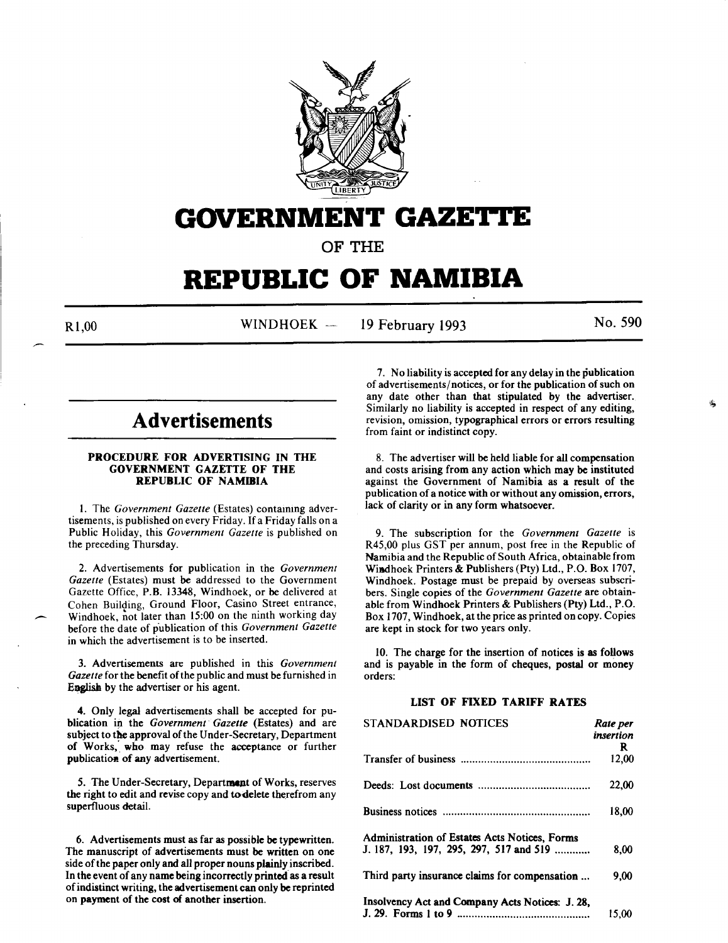

# **GOVERNMENT GAZE'I.I'E**

OF THE

# **REPUBLIC OF NAMIBIA**

 $\overline{\phantom{a}}$ 

R<sub>1,00</sub> WINDHOEK --19 February 1993 No. 590

# **Advertisements**

## PROCEDURE FOR ADVERTISING IN THE GOVERNMENT GAZETTE OF THE REPUBLIC OF NAMIBIA

1. The *Government Gazette* (Estates) containing advertisements, is published on every Friday. If a Friday falls on a Public Holiday, this *Government Gazette* is published on the preceding Thursday.

2. Advertisements for publication in the *Government Gazette* (Estates) must be addressed to the Government Gazette Office, P.B. 13348, Windhoek, or be delivered at Cohen Building, Ground Floor, Casino Street entrance, Windhoek, not later than 15:00 on the ninth working day before the date of publication of this *Government Gazette* in which the advertisement is to be inserted.

3. Advertisements are published in this *Government*  Gazette for the benefit of the public and must be furnished in English by the advertiser or his agent.

4. Only legal advertisements shall be accepted for publication in the *Government Gazette* (Estates) and are subject to the approval of the Under-Secretary, Department of Works, who may refuse the acceptance or further publication of any advertisement.

5. The Under-Secretary, Department of Works, reserves the right to edit and revise copy and todelete therefrom any superfluous detail.

6. Advertisements must as far as possible be typewritten. The manuscript of advertisements must be written on one side of the paper only and all proper nouns plainly inscribed. In the event of any name being incorrectly printed as a result of indistinct writing, the advertisement can only be reprinted on payment of the cost of another insertion.

7. No liability is accepted for any delay in the publication of advertisements/notices, or for the publication of such on any date other than that stipulated by the advertiser. Similarly no liability is accepted in respect of any editing, revision, omission, typographical errors or errors resulting from faint or indistinct copy.

8. The advertiser will be held liable for all compensation and costs arising from any action which may be instituted against the Government of Namibia as a result of the publication of a notice with or without any omission, errors, lack of clarity or in any form whatsoever.

9. The subscription for the *Government Gazette* is R45,00 plus GST per annum, post free in the Republic of Namibia and the Republic of South Africa, obtainable from Wiadhoek Printers & Publishers (Pty) Ltd., P.O. Box 1707, Windhoek. Postage must be prepaid by overseas subscribers. Single copies of the *Government Gazette* are obtainable from Windhoek Printers & Publishers (Pty) Ltd., P.O. Box 1707, Windhoek, at the price as printed on copy. Copies are kept in stock for two years only.

10. The charge for the insertion of notices is as follows and is payable in the form of cheques, postal or money orders:

# LIST OF FIXED TARIFF RATES

| <b>STANDARDISED NOTICES</b>                     | Rate per  |
|-------------------------------------------------|-----------|
|                                                 | insertion |
|                                                 | R.        |
|                                                 | 12,00     |
|                                                 | 22,00     |
|                                                 | 18.00     |
| Administration of Estates Acts Notices, Forms   |           |
| J. 187, 193, 197, 295, 297, 517 and 519         | 8,00      |
| Third party insurance claims for compensation   | 9,00      |
| Insolvency Act and Company Acts Notices: J. 28. |           |
|                                                 | 15.00     |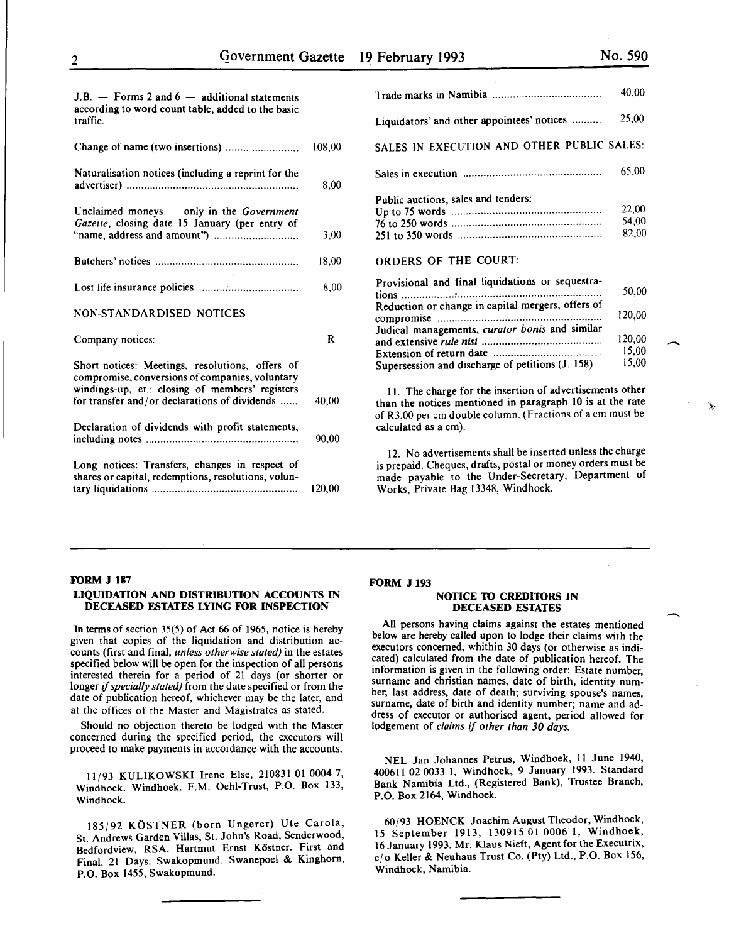15,00

-

 $\overline{\phantom{a}}$ 

'>.·

| $J.B.$ - Forms 2 and 6 - additional statements<br>according to word count table, added to the basic<br>traffic.                                                                                        |        |
|--------------------------------------------------------------------------------------------------------------------------------------------------------------------------------------------------------|--------|
| Change of name (two insertions)                                                                                                                                                                        | 108,00 |
| Naturalisation notices (including a reprint for the                                                                                                                                                    | 8,00   |
| Unclaimed moneys $-$ only in the <i>Government</i><br>Gazette, closing date 15 January (per entry of                                                                                                   | 3,00   |
|                                                                                                                                                                                                        | 18,00  |
|                                                                                                                                                                                                        | 8,00   |
| NON-STANDARDISED NOTICES                                                                                                                                                                               |        |
| Company notices:                                                                                                                                                                                       | R      |
| Short notices: Meetings, resolutions, offers of<br>compromise, conversions of companies, voluntary<br>windings-up, et.: closing of members' registers<br>for transfer and/or declarations of dividends | 40,00  |
| Declaration of dividends with profit statements,                                                                                                                                                       |        |
|                                                                                                                                                                                                        | 90,00  |

|                                                   | 40,00  |
|---------------------------------------------------|--------|
| Liquidators' and other appointees' notices        | 25,00  |
| SALES IN EXECUTION AND OTHER PUBLIC SALES:        |        |
|                                                   | 65,00  |
| Public auctions, sales and tenders:               |        |
|                                                   | 22,00  |
|                                                   | 54,00  |
|                                                   | 82,00  |
| <b>ORDERS OF THE COURT:</b>                       |        |
| Provisional and final liquidations or sequestra-  |        |
|                                                   | 50.00  |
| Reduction or change in capital mergers, offers of |        |
|                                                   | 120,00 |
| Judical managements, curator bonis and similar    |        |
|                                                   | 120,00 |
|                                                   | 15,00  |
|                                                   |        |

II. The charge for the insertion of advertisements other than the notices mentioned in paragraph 10 is at the rate of R3,00 per em double column. (Fractions of a em must be calculated as a em).

Supersession and discharge of petitions (J. 158)

12. No advertisements shall be inserted unless the charge is prepaid. Cheques, drafts, postal or money orders must be made payable to the Under-Secretary, Department of Works, Private Bag 13348, Windhoek.

## ',FORM J 187

## LIQUIDATION AND DISTRIBUTION ACCOUNTS IN DECEASED ESTATES LYING FOR INSPECTION

In terms of section 35(5) of Act 66 of 1965, notice is hereby given that copies of the liquidation and distribution accounts (first and final, *unless otherwise stated)* in the estates specified below will be open for the inspection of all persons interested therein for a period of 21 days (or shorter or longer if *specially stated)* from the date specified or from the date of publication hereof, whichever may be the later, and at the offices of the Master and Magistrates as stated.

Should no objection thereto be lodged with the Master concerned during the specified period, the executors will proceed to make payments in accordance with the accounts.

11/93 KULIKOWSKI Irene Else, 210831 01 0004 7, Windhoek. Windhoek. F.M. Oehi-Trust, P.O. Box 133, Windhoek.

185(92 KOSTNER (born Ungerer) Ute Carola, St. Andrews Garden Villas, St. John's Road, Senderwood, Bedfordview, RSA. Hartmut Ernst Köstner. First and Final. 21 Days. Swakopmund. Swanepoel & Kinghorn, P.O. Box 1455, Swakopmund.

## FORM J 193

## NOTICE TO CREDITORS IN DECEASED ESTATES

All persons having claims against the estates mentioned below are hereby called upon to lodge their claims with the executors concerned, whithin 30 days (or otherwise as indicated) calculated from the date of publication hereof. The information is given in the following order: Estate number surname and christian names, date of birth, identity number, last address, date of death; surviving spouse's names, surname, date of birth and identity number; name and address of executor or authorised agent, period allowed for lodgement of *claims* if *other than 30 days.* 

NEL Jan Johannes Petrus, Windhoek, II June 1940, 400611 02 0033 I, Windhoek, 9 January 1993. Standard Bank Namibia Ltd., (Registered Bank), Trustee Branch, P.O. Box 2164, Windhoek.

60(93 HOENCK Joachim August Theodor, Windhoek, 15 September 1913, 130915 01 0006 1, Windhoek, 16 January 1993. Mr. Klaus Nieft, Agent for the Executrix, c/o Keller & Neuhaus Trust Co. (Pty) Ltd., P.O. Box 156, Windhoek, Namibia.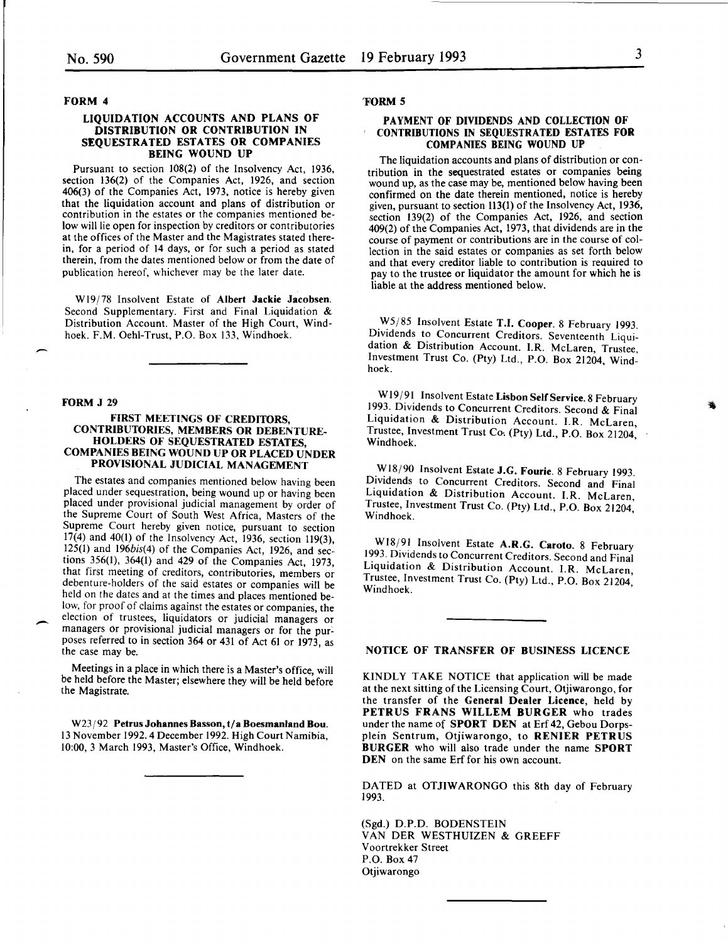### FORM 4

## LIQUIDATION ACCOUNTS AND PLANS OF DISTRIBUTION OR CONTRIBUTION IN SEQUESTRATED ESTATES OR COMPANIES BEING WOUND UP

Pursuant to section 108(2) of the Insolvency Act, 1936, section 136(2) of the Companies Act, 1926, and section 406(3) of the Companies Act, 1973, notice is hereby given contribution in the estates or the companies mentioned below will lie open for inspection by creditors or contributories at the offices of the Master and the Magistrates stated therein, for a period of 14 days, or for such a period as stated therein, from the dates mentioned below or from the date of publication hereof, whichever may be the later date.

W19/78 Insolvent Estate of Albert Jackie Jacobsen. Second Supplementary. First and Final Liquidation & Distribution Account. Master of the High Court, Windhoek. F.M. Oehl-Trust, P.O. Box 133, Windhoek.

#### FORM J 29

-

## FIRST MEETINGS OF CREDITORS, CONTRIBUTORIES, MEMBERS OR DEBENTURE-HOLDERS OF SEQUESTRATED ESTATES, COMPANIES BEING WOUND UP OR PLACED UNDER PROVISIONAL JUDICIAL MANAGEMENT

The estates and companies mentioned below having been placed under sequestration, being wound up or having been placed under provisional judicial management by order of the Supreme Court of South West Africa, Masters of the Supreme Court hereby given notice, pursuant to section 17(4) and 40(1) of the Insolvency Act, 1936, section 119(3), 125(1) and 196bis(4) of the Companies Act, 1926, and sec· tions 356(1), 364(1) and 429 of the Companies Act, 1973, that first meeting of creditors, contributories, members or debenture-holders of the said estates or companies will be held on the dates and at the times and places mentioned below, for proof of claims against the estates or companies, the election of trustees, liquidators or judicial managers or managers or provisional judicial managers or for the purposes referred to in section 364 or 431 of Act 61 or 1973, as the case may be.

Meetings in a place in which there is a Master's office, will be held before the Master; elsewhere they will be held before the Magistrate.

W23/92 Petrus Johannes Basson, t/a Boesmanland Bou. 13 November 1992.4 December 1992. High Court Namibia, 10:00, 3 March 1993, Master's Office, Windhoek.

## 'FORM 5

## PAYMENT OF DIVIDENDS AND COLLECTION OF CONTRIBUTIONS IN SEQUESTRATED ESTATES FOR COMPANIES BEING WOUND UP

The liquidation accounts and plans of distribution or contribution in the sequestrated estates or companies being wound up, as the case may be, mentioned below having been confirmed on the date therein mentioned, notice is hereby given, pursuant to section 113(1) of the Insolvency Act, 1936, section 139(2) of the Companies Act, 1926, and section 409(2) of the Companies Act, 1973, that dividends are in the course of payment or contributions are in the course of collection in the said estates or companies as set forth below and that every creditor liable to contribution is required to pay to the trustee or liquidator the amount for which he is liable at the address mentioned below.

W5/85 Insolvent Estate T.I. Cooper. 8 February 1993. Dividends to Concurrent Creditors. Seventeenth Liquidation & Distribution Account. I.R. McLaren, Trustee, Investment Trust Co. (Pty) Ltd., P.O. Box 21204, Windhoek.

W19/91 Insolvent Estate Lisbon Self Service. 8 February 1993. Dividends to Concurrent Creditors. Second & Final Liquidation & Distribution Account. I.R. McLaren, Trustee, Investment Trust Co·. (Pty) Ltd., P.O. Box 21204, Windhoek.

W18/90 Insolvent Estate J.G. Fourie. 8 February 1993. Dividends to Concurrent Creditors. Second and Final Liquidation & Distribution Account. I.R. McLaren, Trustee, Investment Trust Co. (Pty) Ltd., P.O. Box 21204, Windhoek.

W18/91 Insolvent Estate A.R.G. Caroto. 8 February 1993. Dividends to Concurrent Creditors. Second and Final Liquidation & Distribution Account. I.R. McLaren, Trustee, Investment Trust Co. (Pty) Ltd., P.O. Box 21204, Windhoek.

## NOTICE OF TRANSFER OF BUSINESS LICENCE

KINDLY TAKE NOTICE that application will be made at the next sitting of the Licensing Court, Otjiwarongo, for the transfer of the General Dealer Licence, held by PETRUS FRANS WILLEM BURGER who trades under the name of SPORT DEN at Erf 42, Gebou Dorpsplein Sentrum, Otjiwarongo, to RENIER PETRUS BURGER who will also trade under the name SPORT DEN on the same Erf for his own account.

DATED at OTJIWARONGO this 8th day of February 1993.

(Sgd.) D.P.D. BODENSTEIN VAN DER WESTHUIZEN & GREEFF Voortrekker Street P.O. Box 47 Otjiwarongo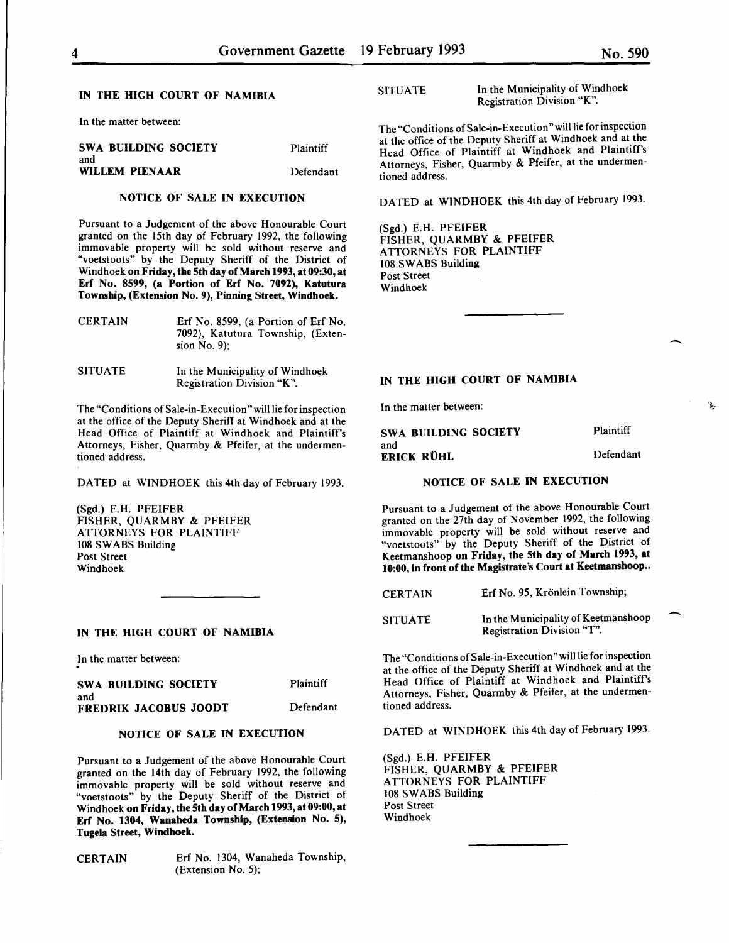$\overline{\phantom{a}}$ 

## IN THE HIGH COURT OF NAMIBIA

In the matter between:

| SWA BUILDING SOCIETY<br>and | Plaintiff |
|-----------------------------|-----------|
| WILLEM PIENAAR              | Defendant |

## NOTICE OF SALE IN EXECUTION

Pursuant to a Judgement of the above Honourable Court granted on the 15th day of February 1992, the following immovable property will be sold without reserve and "voetstoots" by the Deputy Sheriff of the District of Windhoek on Friday, the 5th day of March 1993, at 09:30, at Erf No. 8599, (a Portion of Erf No. 7092), Katutura Township, (Extension No. 9), Pinning Street, Windhoek.

| <b>CERTAIN</b> | Erf No. 8599, (a Portion of Erf No.                  |
|----------------|------------------------------------------------------|
|                | 7092), Katutura Township, (Exten-<br>sion No. $9$ ). |
|                |                                                      |

SITUATE In the Municipality of Windhoek Registration Division "K".

The "Conditions of Sale-in-Execution" will lie for inspection at the office of the Deputy Sheriff at Windhoek and at the Head Office of Plaintiff at Windhoek and Plaintiff's Attorneys, Fisher, Quarmby & Pfeifer, at the undermentioned address.

DATED at WINDHOEK this 4th day of February 1993.

(Sgd.) E.H. PFEIFER FISHER, QUARMBY & PFEIFER ATTORNEYS FOR PLAINTIFF 108 SWABS Building Post Street Windhoek

## IN THE HIGH COURT OF NAMIBIA

In the matter between:

| SWA BUILDING SOCIETY  | Plaintiff |
|-----------------------|-----------|
| and                   |           |
| FREDRIK JACOBUS JOODT | Defendant |

## NOTICE OF SALE IN EXECUTION

Pursuant to a Judgement of the above Honourable Court granted on the 14th day of February 1992, the following immovable property will be sold without reserve and "voetstoots" by the Deputy Sheriff of the District of Windhoek on Friday, the 5th day of March 1993, at 09:00, at Erf No. 1304, Wanaheda Township, (Extension No. 5), Tugela Street, Windhoek.

CERTAIN Erf No. 1304, Wanaheda Township, (Extension No.5);

SITUATE In the Municipality of Windhoek Registration Division "K".

The "Conditions of Sale-in-Execution" will lie for inspection at the office of the Deputy Sheriff at Windhoek and at the Head Office of Plaintiff at Windhoek and Plaintiff's Attorneys, Fisher, Quarmby & Pfeifer, at the undermentioned address.

DATED at WINDHOEK this 4th day of February 1993.

(Sgd.) E.H. PFEIFER FISHER, QUARMBY & PFEIFER ATTORNEYS FOR PLAINTIFF 108 SWABS Building Post Street Windhoek

# IN THE HIGH COURT OF NAMIBIA

In the matter between:

| SWA BUILDING SOCIETY | Plaintiff |
|----------------------|-----------|
| and<br>ERICK RÜHL    | Defendant |

## NOTICE OF SALE IN EXECUTION

Pursuant to a Judgement of the above Honourable Court granted on the 27th day of November 1992, the following immovable property will be sold without reserve and "voetstoots" by the Deputy Sheriff of the District of Keetmanshoop on Friday, the 5th day of March 1993, at 10:00, in front of the Magistrate's Court at Keetmanshoop..

| <b>CERTAIN</b> | Erf No. 95, Krönlein Township;      |
|----------------|-------------------------------------|
| <b>SITUATE</b> | In the Municipality of Keetmanshoop |

SITUATE Registration Division "T".

The "Conditions of Sale-in-Execution" will lie for inspection at the office of the Deputy Sheriff at Windhoek and at the Head Office of Plaintiff at Windhoek and Plaintiff's Attorneys, Fisher, Quarmby & Pfeifer, at the undermentioned address.

DATED at WINDHOEK this 4th day of February 1993.

(Sgd.) E.H. PFEIFER FISHER, QUARMBY & PFEIFER ATTORNEYS FOR PLAINTIFF 108 SWABS Building Post Street Windhoek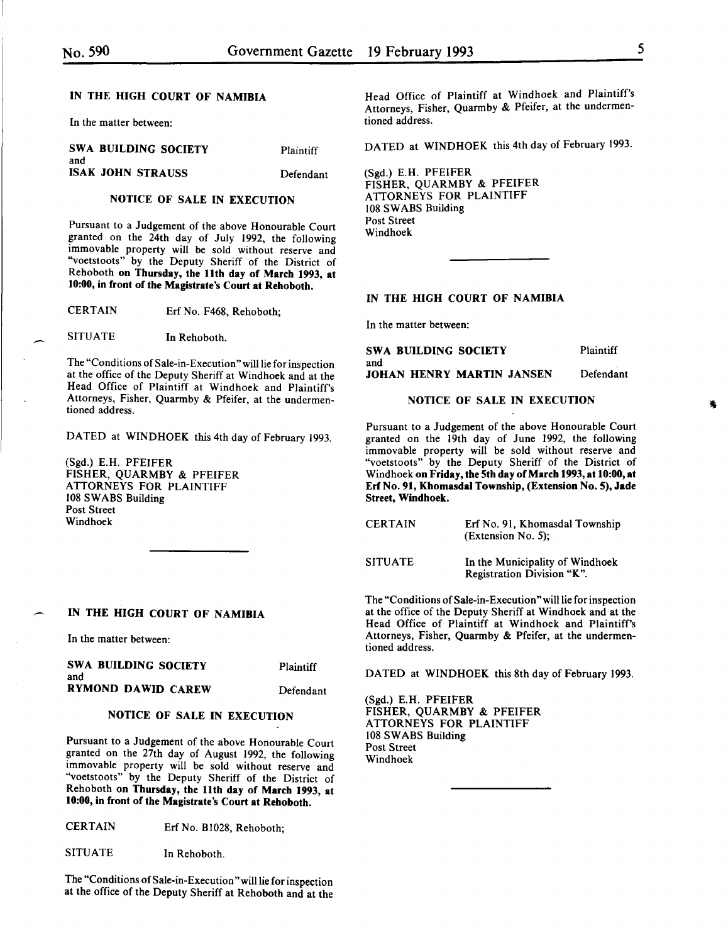# IN THE HIGH COURT OF NAMIBIA

In the matter between:

| <b>SWA BUILDING SOCIETY</b><br>and | Plaintiff |
|------------------------------------|-----------|
| <b>ISAK JOHN STRAUSS</b>           | Defendant |

## NOTICE OF SALE IN EXECUTION

Pursuant to a Judgement of the above Honourable Court granted on the 24th day of July 1992, the following immovable property will be sold without reserve and "voetstoots" by the Deputy Sheriff of the District of Rehoboth on Thursday, the 11th day of March 1993, at 10:00, in front of the Magistrate's Court at Rehoboth.

CERTAIN Erf No. F468, Rehoboth;

SITUATE In Rehoboth.

The "Conditions of Sale-in-Execution" will lie for inspection at the office of the Deputy Sheriff at Windhoek and at the Head Office of Plaintiff at Windhoek and Plaintiff's Attorneys, Fisher, Quarmby & Pfeifer, at the undermentioned address.

DATED at WINDHOEK this 4th day of February 1993.

(Sgd.) E.H. PFEIFER FISHER, QUARMBY & PFEIFER ATTORNEYS FOR PLAINTIFF 108 SWABS Building Post Street Windhoek

## IN THE HIGH COURT OF NAMIBIA

In the matter between:

| SWA BUILDING SOCIETY<br>and | Plaintiff |
|-----------------------------|-----------|
| RYMOND DAWID CAREW          | Defendant |

## NOTICE OF SALE IN EXECUTION

Pursuant to a Judgement of the above Honourable Court granted on the 27th day of August 1992, the following immovable property will be sold without reserve and "voetstoots" by the Deputy Sheriff of the District of Rehoboth on Thursday, the 11th day of March 1993, at 10:00, in front of the Magistrate's Court at Rehoboth.

CERTAIN Erf No. Bl028, Rehoboth;

SITUATE In Rehoboth.

The "Conditions of Sale-in-Execution "will lie for inspection at the office of the Deputy Sheriff at Rehoboth and at the Head Office of Plaintiff at Windhoek and Plaintiff's Attorneys, Fisher, Quarmby & Pfeifer, at the undermentioned address.

DATED at WINDHOEK this 4th day of February 1993.

(Sgd.) E.H. PFEIFER FISHER, QUARMBY & PFEIFER ATTORNEYS FOR PLAINTIFF 108 SWABS Building Post Street Windhoek

#### IN THE HIGH COURT OF NAMIBIA

In the matter between:

| SWA BUILDING SOCIETY             | Plaintiff |
|----------------------------------|-----------|
| and                              |           |
| <b>JOHAN HENRY MARTIN JANSEN</b> | Defendant |

# NOTICE OF SALE IN EXECUTION

Pursuant to a Judgement of the above Honourable Court granted on the 19th day of June 1992, the following immovable property will be sold without reserve and "voetstoots" by the Deputy Sheriff of the District of Windhoek on Friday, the 5th day of March 1993, at 10:00, at Erf No. 91, Khomasdal Township, (Extension No. 5), Jade Street, Windhoek.

| <b>CERTAIN</b> | Erf No. 91. Khomasdal Township<br>$(Extension No. 5)$ ;       |
|----------------|---------------------------------------------------------------|
| <b>SITUATE</b> | In the Municipality of Windhoek<br>Registration Division "K". |

The "Conditions of Sale-in-Execution" will lie for inspection at the office of the Deputy Sheriff at Windhoek and at the Head Office of Plaintiff at Windhoek and Plaintiff's Attorneys, Fisher, Quarmby & Pfeifer, at the undermentioned address.

DATED at WINDHOEK this 8th day of February 1993.

(Sgd.) E.H. PFEIFER FISHER, QUARMBY & PFEIFER ATTORNEYS FOR PLAINTIFF 108 SWABS Building Post Street Windhoek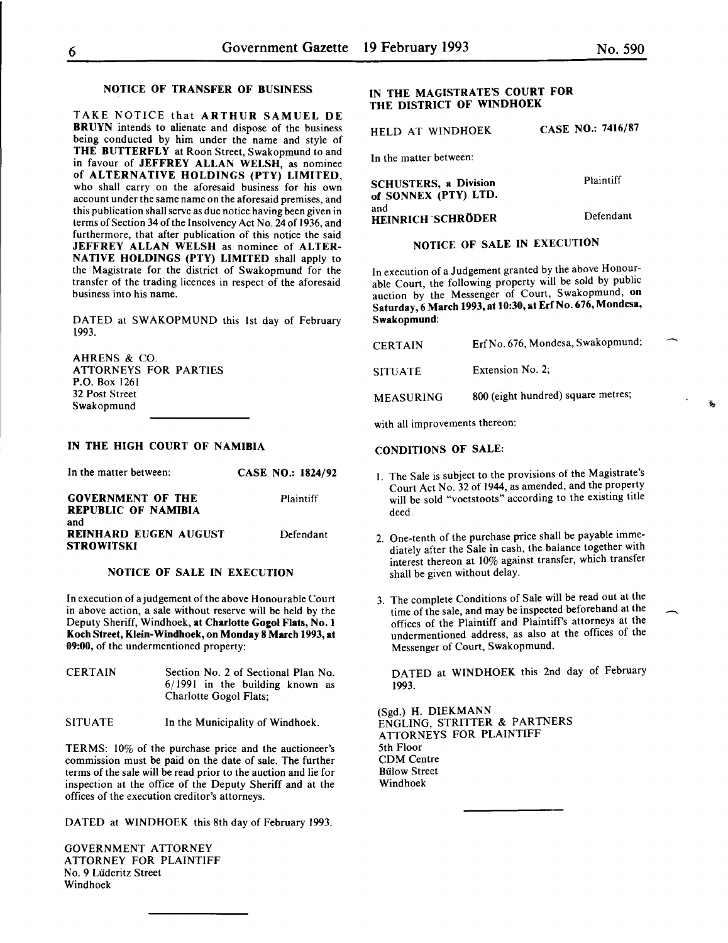TAKE NOTICE that ARTHUR SAMUEL DE BRUYN intends to alienate and dispose of the business being conducted by him under the name and style of THE BUTTERFLY at Roon Street, Swakopmund to and in favour of JEFFREY ALLAN WELSH, as nominee of ALTERNATIVE HOLDINGS (PTY) LIMITED, who shall carry on the aforesaid business for his own account under the same name on the aforesaid premises, and this publication shall serve as due notice having been given in terms of Section 34 of the Insolvency Act No. 24 of 1936, and furthermore, that after publication of this notice the said JEFFREY ALLAN WELSH as nominee of ALTER-NATIVE HOLDINGS (PTY) LIMITED shall apply to the Magistrate for the district of Swakopmund for the transfer of the trading licences in respect of the aforesaid business into his name.

DATED at SWAKOPMUND this lst day of February t993.

AHRENS & CO. ATTORNEYS FOR PARTIES P.O. Box 1261 32 Post Street Swakopmund

# IN THE HIGH COURT OF NAMIBIA

| In the matter between:                                   | <b>CASE NO.: 1824/92</b> |
|----------------------------------------------------------|--------------------------|
| <b>GOVERNMENT OF THE</b><br><b>REPUBLIC OF NAMIBIA</b>   | Plaintiff                |
| and<br><b>REINHARD EUGEN AUGUST</b><br><b>STROWITSKI</b> | Defendant                |

#### NOTICE OF SALE IN EXECUTION

In execution of a judgement of the above Honourable Court in above action, a sale without reserve will be held by the Deputy Sheriff, Windhoek, at Charlotte Gogol Flats, No. 1 Koch Street, Klein-Windhoek, on Monday 8 March 1993, at 09:00, of the undermentioned property:

CERTAIN Section No. 2 of Sectional Plan No. 6/1991 in the building known as Charlotte Gogo! Flats;

SITUATE In the Municipality of Windhoek.

TERMS: 10% of the purchase price and the auctioneer's commission must be paid on the date of sale. The further terms of the sale will be read prior to the auction and lie for inspection at the office of the Deputy Sheriff and at the offices of the execution creditor's attorneys.

DATED at WINDHOEK this 8th day of February 1993.

GOVERNMENT ATTORNEY ATTORNEY FOR PLAINTIFF No. 9 Luderitz Street Windhoek

# IN THE MAGISTRATE'S COURT FOR THE DISTRICT OF WINDHOEK

HELD AT WINDHOEK CASE NO.: 7416/87

In the matter between:

| <b>SCHUSTERS, a Division</b><br>of SONNEX (PTY) LTD. | Plaintiff |
|------------------------------------------------------|-----------|
| and<br><b>HEINRICH SCHRÖDER</b>                      | Defendant |

# NOTICE OF SALE IN EXECUTION

In execution of a Judgement granted by the above Honourable Court, the following property will be sold by public auction by the Messenger of Court, Swakopmund, on Saturday, 6 March 1993, at 10:30, at Erf No. 676, Mondesa, Swakopmund:

| CERTAIN          | Erf No. 676, Mondesa, Swakopmund;  |
|------------------|------------------------------------|
| <b>SITUATE</b>   | Extension No. 2;                   |
| <b>MEASURING</b> | 800 (eight hundred) square metres; |

with all improvements thereon:

### CONDITIONS OF SALE:

- 1. The Sale is subject to the provisions of the Magistrate's Court Act No. 32 of 1944, as amended, and the property will be sold "voetstoots" according to the existing title deed.
- 2. One-tenth of the purchase price shall be payable immediately after the Sale in cash, the balance together with interest thereon at 10% against transfer, which transfer shall be given without delay.
- 3. The complete Conditions of Sale will be read out at the time of the sale, and may be inspected beforehand at the offices of the Plaintiff and Plaintiff's attorneys at the undermentioned address, as also at the offices of the Messenger of Court, Swakopmund.

DATED at WINDHOEK this 2nd day of February 1993.

(Sgd.) H. DIEKMANN ENGLING, STRITTER & PARTNERS ATTORNEYS FOR PLAINTIFF 5th Floor CDM Centre **Bülow Street** Windhoek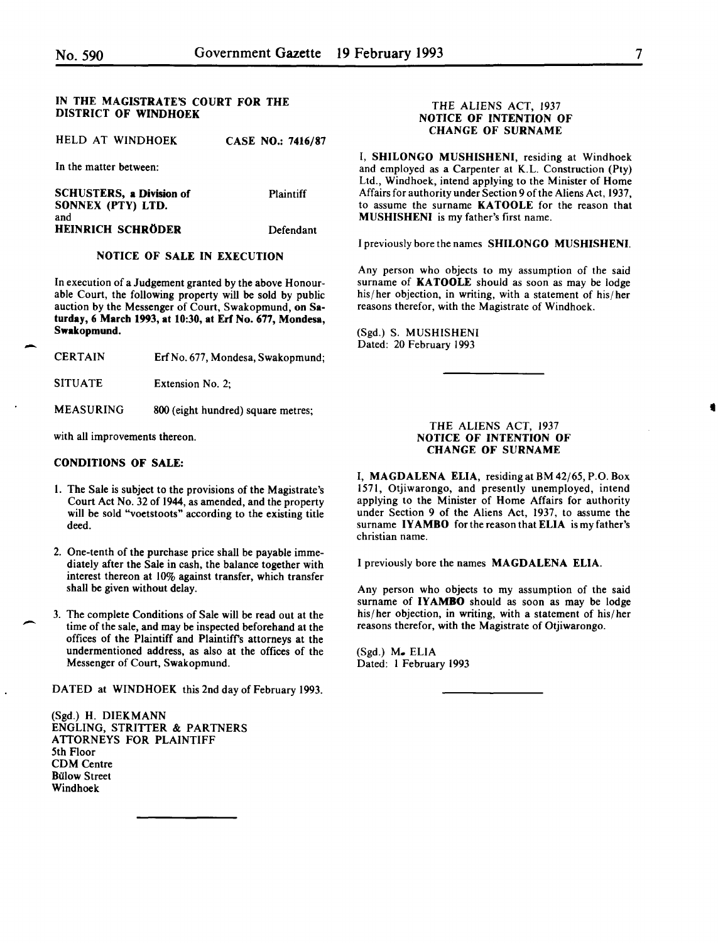-

-

## IN THE MAGISTRATE'S COURT FOR THE DISTRICT OF WINDHOEK

HELD AT WINDHOEK CASE NO.: 7416/87

In the matter between:

SCHUSTERS, a Division of SONNEX (PTY) LTD. and HEINRICH SCHRODER Plaintiff Defendant

## NOTICE OF SALE IN EXECUTION

In execution of a Judgement granted by the above Honourable Court, the following property will be sold by public auction by the Messenger of Court, Swakopmund, on Saturday, 6 March 1993, at 10:30, at Erf No. 677, Mondesa, Swakopmund.

| <b>CERTAIN</b><br>Erf No. 677, Mondesa, Swakopmund; |
|-----------------------------------------------------|
|-----------------------------------------------------|

SITUATE Extension No. 2;

MEASURING 800 (eight hundred) square metres;

with all improvements thereon.

## CONDITIONS OF SALE:

- I. The Sale is subject to the provisions of the Magistrate's Court Act No. 32 of 1944, as amended, and the property will be sold "voetstoots" according to the existing title deed.
- 2. One-tenth of the purchase price shall be payable immediately after the Sale in cash, the balance together with interest thereon at 10% against transfer, which transfer shall be given without delay.
- 3. The complete Conditions of Sale will be read out at the time of the sale, and may be inspected beforehand at the offices of the Plaintiff and Plaintiffs attorneys at the undermentioned address, as also at the offices of the Messenger of Court, Swakopmund.

DATED at WINDHOEK this 2nd day of February 1993.

(Sgd.) H. DIEKMANN ENGLING, STRITIER & PARTNERS **ATTORNEYS FOR PLAINTIFF** 5th Floor CDM Centre **Bülow Street** Windhoek

## THE ALIENS ACT, 1937 NOTICE OF INTENTION OF CHANGE OF SURNAME

I, SHILONGO MUSHISHENI, residing at Windhoek and employed as a Carpenter at K.L. Construction (Pty) Ltd., Windhoek, intend applying to the Minister of Home Affairs for authority under Section 9 of the Aliens Act, 1937, to assume the surname KATOOLE for the reason that MUSHISHENI is my father's first name.

I previously bore the names SHILONGO MUSHISHENI.

Any person who objects to my assumption of the said surname of **KATOOLE** should as soon as may be lodge his/her objection, in writing, with a statement of his/her reasons therefor, with the Magistrate of Windhoek.

(Sgd.) S. MUSHISHENI Dated: 20 February 1993

## THE ALIENS ACT, 1937 NOTICE OF INTENTION OF CHANGE OF SURNAME

I, MAGDALENA ELlA, residing at BM 42/65, P.O. Box 1571, Otjiwarongo, and presently unemployed, intend applying to the Minister of Home Affairs for authority under Section 9 of the Aliens Act, 1937, to assume the surname IYAMBO for the reason that ELlA is my father's christian name.

I previously bore the names MAGDALENA ELlA.

Any person who objects to my assumption of the said surname of IYAMBO should as soon as may be lodge his/her objection, in writing, with a statement of his/her reasons therefor, with the Magistrate of Otjiwarongo.

(Sgd.) M. ELlA Dated: I February 1993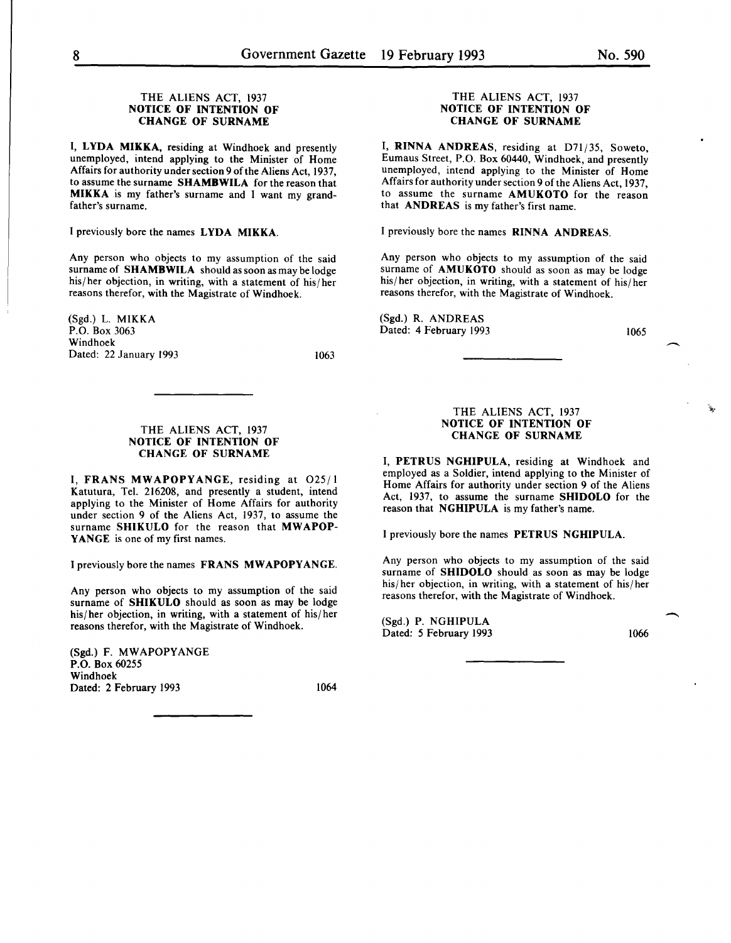## THE ALIENS ACT, 1937 NOTICE OF INTENTION OF CHANGE OF SURNAME

I, LYDA MIKKA, residing at Windhoek and presently unemployed, intend applying to the Minister of Home Affairs for authority under section 9 of the Aliens Act, 1937, to assume the surname SHAMBWILA for the reason that MIKKA is my father's surname and I want my grandfather's surname.

I previously bore the names LYDA MIKKA.

Any person who objects to my assumption of the said surname of **SHAMBWILA** should as soon as may be lodge his/ her objection, in writing, with a statement of his/ her reasons therefor, with the Magistrate of Windhoek.

(Sgd.) L. MIKKA P.O. Box 3063 Windhoek Dated: 22 January 1993

1063

## THE ALIENS ACT, 1937 NOTICE OF INTENTION OF CHANGE OF SURNAME

I, FRANS MWAPOPYANGE, residing at 025/1 Katutura, Tel. 216208, and presently a student, intend applying to the Minister of Home Affairs for authority under section 9 of the Aliens Act, 1937, to assume the surname SHIKULO for the reason that MWAPOP-YANGE is one of my first names.

I previously bore the names FRANS MWAPOPYANGE.

Any person who objects to my assumption of the said surname of **SHIKULO** should as soon as may be lodge his/ her objection, in writing, with a statement of his/ her reasons therefor, with the Magistrate of Windhoek.

(Sgd.) F. MWAPOPYANGE P.O. Box 60255 Windhoek Dated: 2 February 1993 1064

## THE ALIENS ACT, 1937 NOTICE OF INTENTION OF CHANGE OF SURNAME

I, RINNA ANDREAS, residing at D71/35, Soweto, Eumaus Street, P.O. Box 60440, Windhoek, and presently unemployed, intend applying to the Minister of Home Affairs for authority under section 9 of the Aliens Act, 1937, to assume the surname AMUKOTO for the reason that ANDREAS is my father's first name.

I previously bore the names RINNA ANDREAS.

Any person who objects to my assumption of the said surname of **AMUKOTO** should as soon as may be lodge his/her objection, in writing, with a statement of his/her reasons therefor, with the Magistrate of Windhoek.

(Sgd.) R. ANDREAS Dated: 4 February 1993

1065

## THE ALIENS ACT, 1937 NOTICE OF INTENTION OF CHANGE OF SURNAME

I, PETRUS NGHIPULA, residing at Windhoek and employed as a Soldier, intend applying to the Minister of Home Affairs for authority under section 9 of the Aliens Act, 1937, to assume the surname SHIDOLO for the reason that NGHIPULA is my father's name.

I previously bore the names PETRUS NGHIPULA.

Any person who objects to my assumption of the said surname of SHIDOLO should as soon as may be lodge his/her objection, in writing, with a statement of his/her reasons therefor, with the Magistrate of Windhoek.

(Sgd.) P. NGHIPULA Dated: 5 February 1993 1066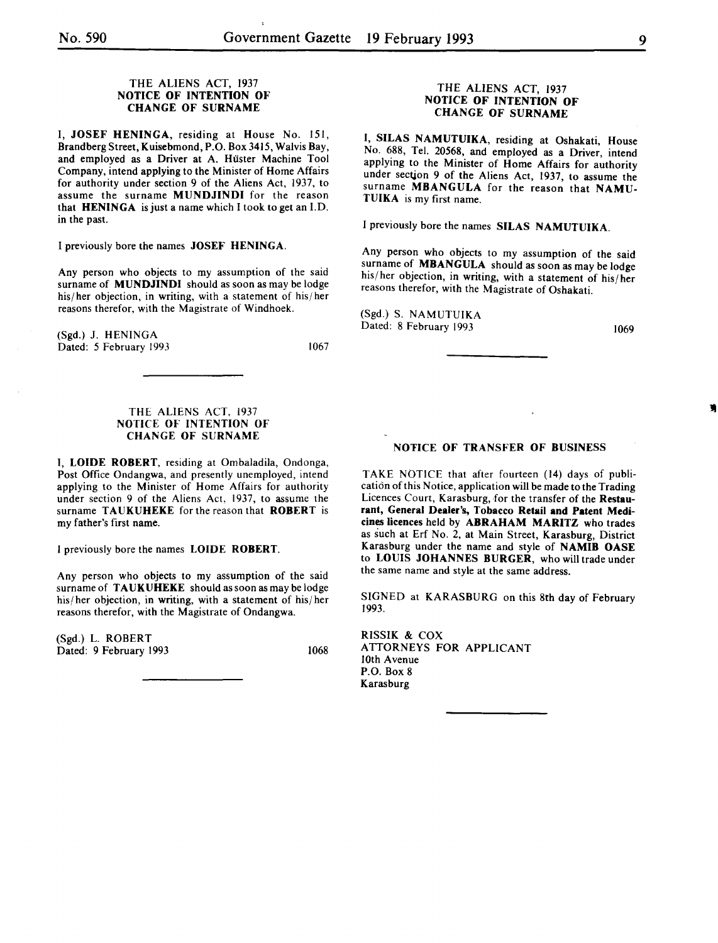## THE ALIENS ACT, 1937 NOTICE OF INTENTION OF CHANGE OF SURNAME

I, JOSEF HENINGA, residing at House No. 151, Brandberg Street, Kuisebmond, P.O. Box 3415, Walvis Bay, and employed as a Driver at A. Hüster Machine Tool Company, intend applying to the Minister of Home Affairs for authority under section 9 of the Aliens Act, 1937, to assume the surname MUNDJINDI for the reason that **HENINGA** is just a name which I took to get an I.D. in the past.

I previously bore the names JOSEF HENINGA.

Any person who objects to my assumption of the said surname of **MUNDJINDI** should as soon as may be lodge his/ her objection, in writing, with a statement of his/ her reasons therefor, with the Magistrate of Windhoek.

(Sgd.) J. HENINGA Dated: *5* February 1993

1067

## THE ALIENS ACT, 1937 NOTICE OF INTENTION OF CHANGE OF SURNAME

I, LOIDE ROBERT, residing at Ombaladila, Ondonga, Post Office Ondangwa, and presently unemployed, intend applying to the Minister of Home Affairs for authority under section 9 of the Aliens Act, 1937, to assume the surname TAUKUHEKE for the reason that ROBERT is my father's first name.

I previously bore the names LOIDE ROBERT.

Any person who objects to my assumption of the said surname of TAUKUHEKE should as soon as may be lodge his/ her objection, in writing, with a statement of his/ her reasons therefor, with the Magistrate of Ondangwa.

(Sgd.) L. ROBERT Dated: 9 February 1993 1068

## THE ALIENS ACT, 1937 NOTICE OF INTENTION OF CHANGE OF SURNAME

I, SILAS NAMUTUIKA, residing at Oshakati, House No. 688, Tel. 20568, and employed as a Driver, intend applying to the Minister of Home Affairs for authority under sectjon 9 of the Aliens Act, 1937, to assume the surname MBANGULA for the reason that NAMU-TUIKA is my first name.

I previously bore the names SILAS NAMUTUIKA.

Any person who objects to my assumption of the said surname of **MBANGULA** should as soon as may be lodge his/ her objection, in writing, with a statement of his/ her reasons therefor, with the Magistrate of Oshakati.

(Sgd.) S. NAMUTUIKA Dated: 8 February 1993

1069

## NOTICE OF TRANSFER OF BUSINESS

TAKE NOTICE that after fourteen (14) days of publication of this Notice, application will be made to the Trading Licences Court, Karasburg, for the transfer of the Restaurant, General Dealer's, Tobacco Retail and Patent Medicines licences held by ABRAHAM MARITZ who trades as such at Erf No. 2, at Main Street, Karasburg, District Karasburg under the name and style of NAMIB OASE to LOUIS JOHANNES BURGER, who will trade under the same name and style at the same address.

SIGNED at KARASBURG on this 8th day of February 1993.

RISSIK & COX ATTORNEYS FOR APPLICANT lOth Avenue P.O. Box 8 **Karasburg**